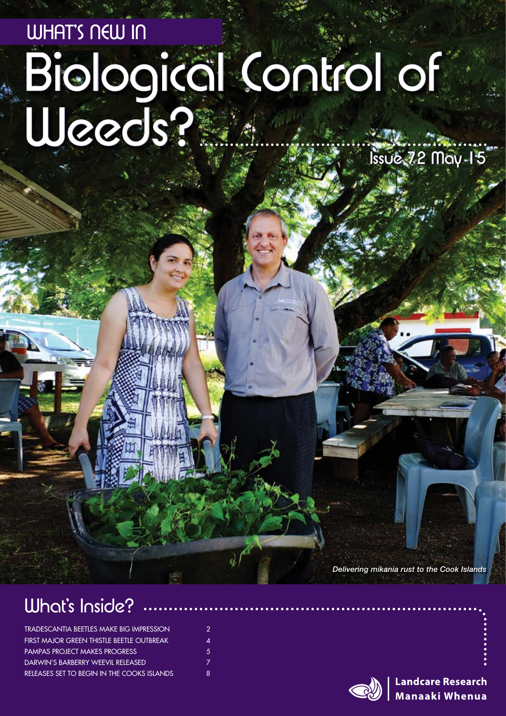# Biological Control of WHAT'S NEW IN Weeds? Issue 72 May 15

*Delivering mikania rust to the Cook Islands*

### What's Inside?

| <b>TRADESCANTIA BEETLES MAKE BIG IMPRESSION</b><br>FIRST MAJOR GREEN THISTLE BEETLE OUTBREAK<br><b>PAMPAS PROJECT MAKES PROGRESS</b><br>DARWIN'S BARBERRY WEEVIL RELEASED<br>RELEASES SET TO BEGIN IN THE COOKS ISLANDS | $\mathcal{P}$<br>Δ<br>5. |    |
|-------------------------------------------------------------------------------------------------------------------------------------------------------------------------------------------------------------------------|--------------------------|----|
|                                                                                                                                                                                                                         |                          | 8. |



**Landcare Research Manaaki Whenua**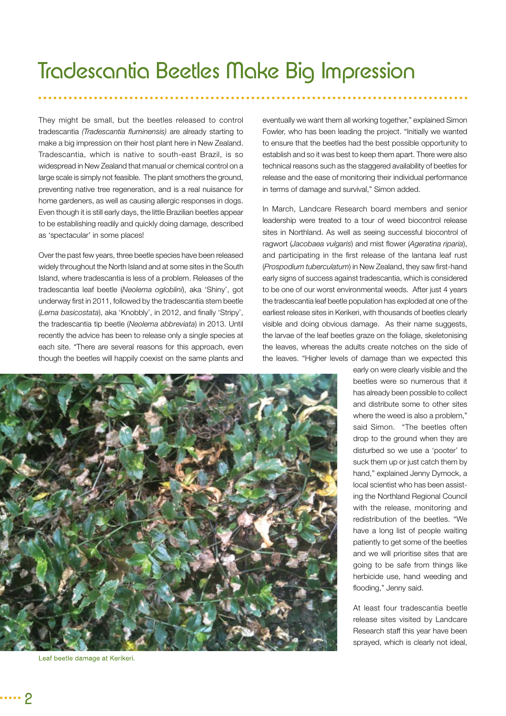They might be small, but the beetles released to control tradescantia *(Tradescantia fluminensis)* are already starting to make a big impression on their host plant here in New Zealand. Tradescantia, which is native to south-east Brazil, is so widespread in New Zealand that manual or chemical control on a large scale is simply not feasible. The plant smothers the ground, preventing native tree regeneration, and is a real nuisance for home gardeners, as well as causing allergic responses in dogs. Even though it is still early days, the little Brazilian beetles appear to be establishing readily and quickly doing damage, described as 'spectacular' in some places!

Over the past few years, three beetle species have been released widely throughout the North Island and at some sites in the South Island, where tradescantia is less of a problem. Releases of the tradescantia leaf beetle (*Neolema ogloblini*), aka 'Shiny', got underway first in 2011, followed by the tradescantia stem beetle (*Lema basicostata*), aka 'Knobbly', in 2012, and finally 'Stripy', the tradescantia tip beetle (*Neolema abbreviata*) in 2013. Until recently the advice has been to release only a single species at each site. "There are several reasons for this approach, even though the beetles will happily coexist on the same plants and

eventually we want them all working together," explained Simon Fowler, who has been leading the project. "Initially we wanted to ensure that the beetles had the best possible opportunity to establish and so it was best to keep them apart. There were also technical reasons such as the staggered availability of beetles for release and the ease of monitoring their individual performance in terms of damage and survival," Simon added.

In March, Landcare Research board members and senior leadership were treated to a tour of weed biocontrol release sites in Northland. As well as seeing successful biocontrol of ragwort (*Jacobaea vulgaris*) and mist flower (*Ageratina riparia*), and participating in the first release of the lantana leaf rust (*Prospodium tuberculatum*) in New Zealand, they saw first-hand early signs of success against tradescantia, which is considered to be one of our worst environmental weeds. After just 4 years the tradescantia leaf beetle population has exploded at one of the earliest release sites in Kerikeri, with thousands of beetles clearly visible and doing obvious damage. As their name suggests, the larvae of the leaf beetles graze on the foliage, skeletonising the leaves, whereas the adults create notches on the side of the leaves. "Higher levels of damage than we expected this



Leaf beetle damage at Kerikeri.

early on were clearly visible and the beetles were so numerous that it has already been possible to collect and distribute some to other sites where the weed is also a problem." said Simon. "The beetles often drop to the ground when they are disturbed so we use a 'pooter' to suck them up or just catch them by hand," explained Jenny Dymock, a local scientist who has been assisting the Northland Regional Council with the release, monitoring and redistribution of the beetles. "We have a long list of people waiting patiently to get some of the beetles and we will prioritise sites that are going to be safe from things like herbicide use, hand weeding and flooding," Jenny said.

At least four tradescantia beetle release sites visited by Landcare Research staff this year have been sprayed, which is clearly not ideal,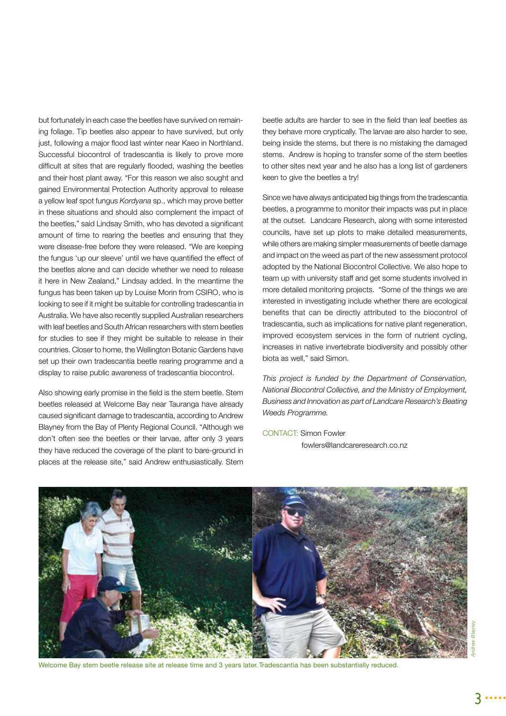but fortunately in each case the beetles have survived on remaining foliage. Tip beetles also appear to have survived, but only just, following a major flood last winter near Kaeo in Northland. Successful biocontrol of tradescantia is likely to prove more difficult at sites that are regularly flooded, washing the beetles and their host plant away. "For this reason we also sought and gained Environmental Protection Authority approval to release a yellow leaf spot fungus *Kordyana* sp., which may prove better in these situations and should also complement the impact of the beetles," said Lindsay Smith, who has devoted a significant amount of time to rearing the beetles and ensuring that they were disease-free before they were released. "We are keeping the fungus 'up our sleeve' until we have quantified the effect of the beetles alone and can decide whether we need to release it here in New Zealand," Lindsay added. In the meantime the fungus has been taken up by Louise Morin from CSIRO, who is looking to see if it might be suitable for controlling tradescantia in Australia. We have also recently supplied Australian researchers with leaf beetles and South African researchers with stem beetles for studies to see if they might be suitable to release in their countries. Closer to home, the Wellington Botanic Gardens have set up their own tradescantia beetle rearing programme and a display to raise public awareness of tradescantia biocontrol.

Also showing early promise in the field is the stem beetle. Stem beetles released at Welcome Bay near Tauranga have already caused significant damage to tradescantia, according to Andrew Blayney from the Bay of Plenty Regional Council. "Although we don't often see the beetles or their larvae, after only 3 years they have reduced the coverage of the plant to bare-ground in places at the release site," said Andrew enthusiastically. Stem

beetle adults are harder to see in the field than leaf beetles as they behave more cryptically. The larvae are also harder to see, being inside the stems, but there is no mistaking the damaged stems. Andrew is hoping to transfer some of the stem beetles to other sites next year and he also has a long list of gardeners keen to give the beetles a try!

Since we have always anticipated big things from the tradescantia beetles, a programme to monitor their impacts was put in place at the outset. Landcare Research, along with some interested councils, have set up plots to make detailed measurements, while others are making simpler measurements of beetle damage and impact on the weed as part of the new assessment protocol adopted by the National Biocontrol Collective. We also hope to team up with university staff and get some students involved in more detailed monitoring projects. "Some of the things we are interested in investigating include whether there are ecological benefits that can be directly attributed to the biocontrol of tradescantia, such as implications for native plant regeneration, improved ecosystem services in the form of nutrient cycling, increases in native invertebrate biodiversity and possibly other biota as well," said Simon.

*This project is funded by the Department of Conservation, National Biocontrol Collective, and the Ministry of Employment, Business and Innovation as part of Landcare Research's Beating Weeds Programme.* 

CONTACT: Simon Fowler fowlers@landcareresearch.co.nz

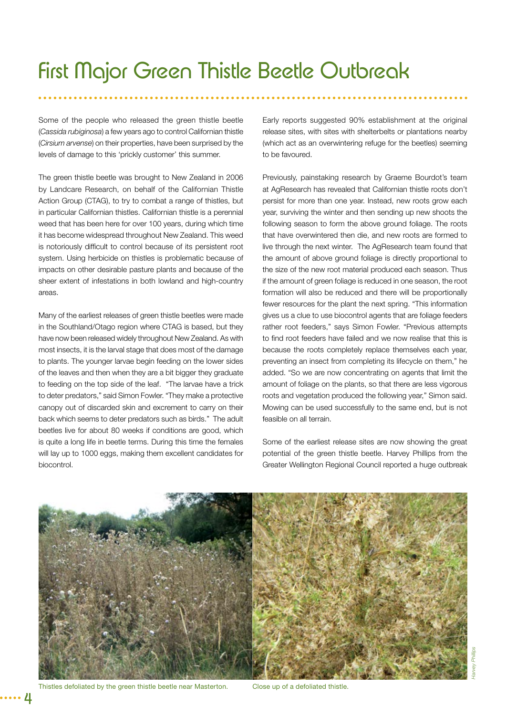## First Major Green Thistle Beetle Outbreak

Some of the people who released the green thistle beetle (*Cassida rubiginosa*) a few years ago to control Californian thistle (*Cirsium arvense*) on their properties, have been surprised by the levels of damage to this 'prickly customer' this summer.

The green thistle beetle was brought to New Zealand in 2006 by Landcare Research, on behalf of the Californian Thistle Action Group (CTAG), to try to combat a range of thistles, but in particular Californian thistles. Californian thistle is a perennial weed that has been here for over 100 years, during which time it has become widespread throughout New Zealand. This weed is notoriously difficult to control because of its persistent root system. Using herbicide on thistles is problematic because of impacts on other desirable pasture plants and because of the sheer extent of infestations in both lowland and high-country areas.

Many of the earliest releases of green thistle beetles were made in the Southland/Otago region where CTAG is based, but they have now been released widely throughout New Zealand. As with most insects, it is the larval stage that does most of the damage to plants. The younger larvae begin feeding on the lower sides of the leaves and then when they are a bit bigger they graduate to feeding on the top side of the leaf. "The larvae have a trick to deter predators," said Simon Fowler. "They make a protective canopy out of discarded skin and excrement to carry on their back which seems to deter predators such as birds." The adult beetles live for about 80 weeks if conditions are good, which is quite a long life in beetle terms. During this time the females will lay up to 1000 eggs, making them excellent candidates for biocontrol.

Early reports suggested 90% establishment at the original release sites, with sites with shelterbelts or plantations nearby (which act as an overwintering refuge for the beetles) seeming to be favoured.

Previously, painstaking research by Graeme Bourdot's team at AgResearch has revealed that Californian thistle roots don't persist for more than one year. Instead, new roots grow each year, surviving the winter and then sending up new shoots the following season to form the above ground foliage. The roots that have overwintered then die, and new roots are formed to live through the next winter. The AgResearch team found that the amount of above ground foliage is directly proportional to the size of the new root material produced each season. Thus if the amount of green foliage is reduced in one season, the root formation will also be reduced and there will be proportionally fewer resources for the plant the next spring. "This information gives us a clue to use biocontrol agents that are foliage feeders rather root feeders," says Simon Fowler. "Previous attempts to find root feeders have failed and we now realise that this is because the roots completely replace themselves each year, preventing an insect from completing its lifecycle on them," he added. "So we are now concentrating on agents that limit the amount of foliage on the plants, so that there are less vigorous roots and vegetation produced the following year," Simon said. Mowing can be used successfully to the same end, but is not feasible on all terrain.

Some of the earliest release sites are now showing the great potential of the green thistle beetle. Harvey Phillips from the Greater Wellington Regional Council reported a huge outbreak



Thistles defoliated by the green thistle beetle near Masterton. Close up of a defoliated thistle.

4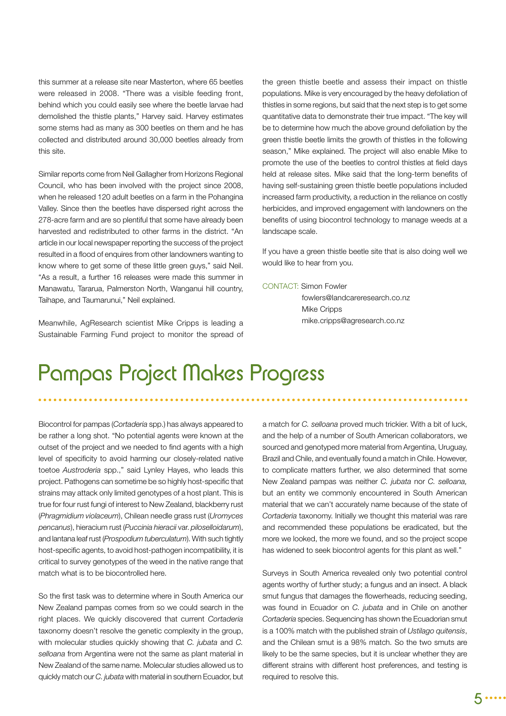this summer at a release site near Masterton, where 65 beetles were released in 2008. "There was a visible feeding front, behind which you could easily see where the beetle larvae had demolished the thistle plants," Harvey said. Harvey estimates some stems had as many as 300 beetles on them and he has collected and distributed around 30,000 beetles already from this site.

Similar reports come from Neil Gallagher from Horizons Regional Council, who has been involved with the project since 2008, when he released 120 adult beetles on a farm in the Pohangina Valley. Since then the beetles have dispersed right across the 278-acre farm and are so plentiful that some have already been harvested and redistributed to other farms in the district. "An article in our local newspaper reporting the success of the project resulted in a flood of enquires from other landowners wanting to know where to get some of these little green guys," said Neil. "As a result, a further 16 releases were made this summer in Manawatu, Tararua, Palmerston North, Wanganui hill country, Taihape, and Taumarunui," Neil explained.

Meanwhile, AgResearch scientist Mike Cripps is leading a Sustainable Farming Fund project to monitor the spread of the green thistle beetle and assess their impact on thistle populations. Mike is very encouraged by the heavy defoliation of thistles in some regions, but said that the next step is to get some quantitative data to demonstrate their true impact. "The key will be to determine how much the above ground defoliation by the green thistle beetle limits the growth of thistles in the following season," Mike explained. The project will also enable Mike to promote the use of the beetles to control thistles at field days held at release sites. Mike said that the long-term benefits of having self-sustaining green thistle beetle populations included increased farm productivity, a reduction in the reliance on costly herbicides, and improved engagement with landowners on the benefits of using biocontrol technology to manage weeds at a landscape scale.

If you have a green thistle beetle site that is also doing well we would like to hear from you.

#### CONTACT: Simon Fowler

 fowlers@landcareresearch.co.nz Mike Cripps mike.cripps@agresearch.co.nz

### Pampas Project Makes Progress

Biocontrol for pampas (*Cortaderia* spp.) has always appeared to be rather a long shot. "No potential agents were known at the outset of the project and we needed to find agents with a high level of specificity to avoid harming our closely-related native toetoe *Austroderia* spp.," said Lynley Hayes, who leads this project. Pathogens can sometime be so highly host-specific that strains may attack only limited genotypes of a host plant. This is true for four rust fungi of interest to New Zealand, blackberry rust (*Phragmidium violaceum*), Chilean needle grass rust (*Uromyces pencanus*), hieracium rust (*Puccinia hieracii* var. *piloselloidarum*), and lantana leaf rust (*Prospodium tuberculatum*). With such tightly host-specific agents, to avoid host-pathogen incompatibility, it is critical to survey genotypes of the weed in the native range that match what is to be biocontrolled here.

So the first task was to determine where in South America our New Zealand pampas comes from so we could search in the right places. We quickly discovered that current *Cortaderia* taxonomy doesn't resolve the genetic complexity in the group, with molecular studies quickly showing that *C. jubata* and *C. selloana* from Argentina were not the same as plant material in New Zealand of the same name. Molecular studies allowed us to quickly match our *C. jubata* with material in southern Ecuador, but

a match for *C. selloana* proved much trickier. With a bit of luck, and the help of a number of South American collaborators, we sourced and genotyped more material from Argentina, Uruguay, Brazil and Chile, and eventually found a match in Chile. However, to complicate matters further, we also determined that some New Zealand pampas was neither *C. jubata* nor *C. selloana,*  but an entity we commonly encountered in South American material that we can't accurately name because of the state of *Cortaderia* taxonomy. Initially we thought this material was rare and recommended these populations be eradicated, but the more we looked, the more we found, and so the project scope has widened to seek biocontrol agents for this plant as well."

Surveys in South America revealed only two potential control agents worthy of further study; a fungus and an insect. A black smut fungus that damages the flowerheads, reducing seeding, was found in Ecuador on *C. jubata* and in Chile on another *Cortaderia* species. Sequencing has shown the Ecuadorian smut is a 100% match with the published strain of *Ustilago quitensis*, and the Chilean smut is a 98% match. So the two smuts are likely to be the same species, but it is unclear whether they are different strains with different host preferences, and testing is required to resolve this.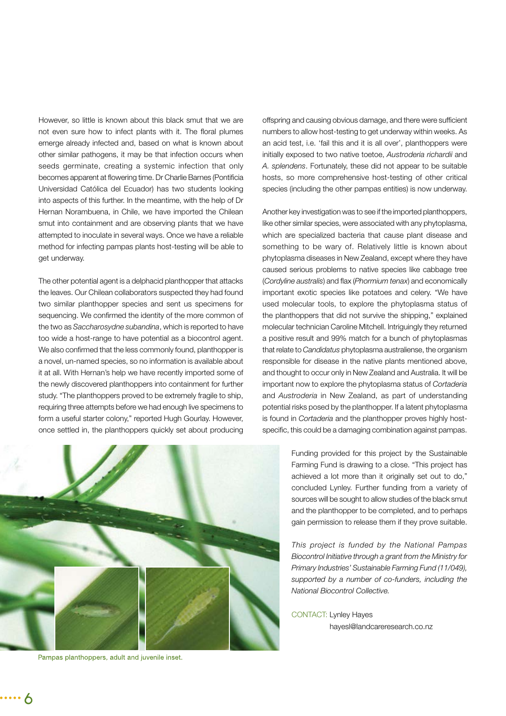However, so little is known about this black smut that we are not even sure how to infect plants with it. The floral plumes emerge already infected and, based on what is known about other similar pathogens, it may be that infection occurs when seeds germinate, creating a systemic infection that only becomes apparent at flowering time. Dr Charlie Barnes (Pontificia Universidad Católica del Ecuador) has two students looking into aspects of this further. In the meantime, with the help of Dr Hernan Norambuena, in Chile, we have imported the Chilean smut into containment and are observing plants that we have attempted to inoculate in several ways. Once we have a reliable method for infecting pampas plants host-testing will be able to get underway.

The other potential agent is a delphacid planthopper that attacks the leaves. Our Chilean collaborators suspected they had found two similar planthopper species and sent us specimens for sequencing. We confirmed the identity of the more common of the two as *Saccharosydne subandina*, which is reported to have too wide a host-range to have potential as a biocontrol agent. We also confirmed that the less commonly found, planthopper is a novel, un-named species, so no information is available about it at all. With Hernan's help we have recently imported some of the newly discovered planthoppers into containment for further study. "The planthoppers proved to be extremely fragile to ship, requiring three attempts before we had enough live specimens to form a useful starter colony," reported Hugh Gourlay. However, once settled in, the planthoppers quickly set about producing



Pampas planthoppers, adult and juvenile inset.

offspring and causing obvious damage, and there were sufficient numbers to allow host-testing to get underway within weeks. As an acid test, i.e. 'fail this and it is all over', planthoppers were initially exposed to two native toetoe, *Austroderia richardii* and *A. splendens*. Fortunately, these did not appear to be suitable hosts, so more comprehensive host-testing of other critical species (including the other pampas entities) is now underway.

Another key investigation was to see if the imported planthoppers, like other similar species, were associated with any phytoplasma, which are specialized bacteria that cause plant disease and something to be wary of. Relatively little is known about phytoplasma diseases in New Zealand, except where they have caused serious problems to native species like cabbage tree (*Cordyline australis*) and flax (*Phormium tenax*) and economically important exotic species like potatoes and celery. "We have used molecular tools, to explore the phytoplasma status of the planthoppers that did not survive the shipping," explained molecular technician Caroline Mitchell. Intriguingly they returned a positive result and 99% match for a bunch of phytoplasmas that relate to *Candidatus* phytoplasma australiense, the organism responsible for disease in the native plants mentioned above, and thought to occur only in New Zealand and Australia. It will be important now to explore the phytoplasma status of *Cortaderia* and *Austroderia* in New Zealand, as part of understanding potential risks posed by the planthopper. If a latent phytoplasma is found in *Cortaderia* and the planthopper proves highly hostspecific, this could be a damaging combination against pampas.

> Funding provided for this project by the Sustainable Farming Fund is drawing to a close. "This project has achieved a lot more than it originally set out to do," concluded Lynley. Further funding from a variety of sources will be sought to allow studies of the black smut and the planthopper to be completed, and to perhaps gain permission to release them if they prove suitable.

> *This project is funded by the National Pampas Biocontrol Initiative through a grant from the Ministry for Primary Industries' Sustainable Farming Fund (11/049), supported by a number of co-funders, including the National Biocontrol Collective.*

CONTACT: Lynley Hayes

hayesl@landcareresearch.co.nz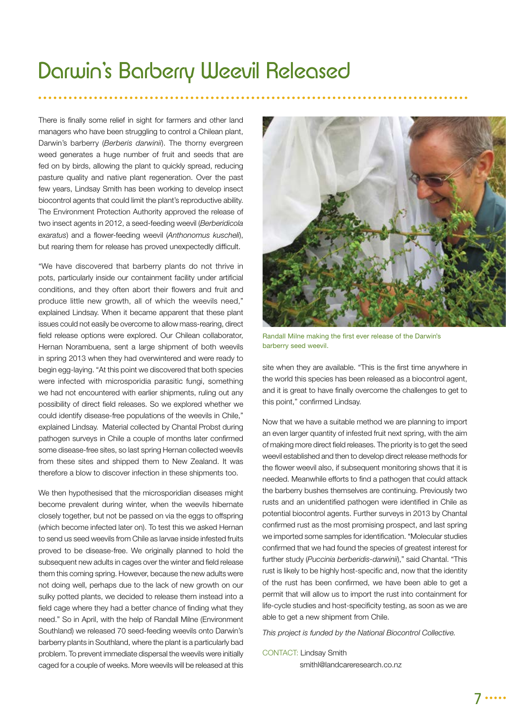### Darwin's Barberry Weevil Released

There is finally some relief in sight for farmers and other land managers who have been struggling to control a Chilean plant, Darwin's barberry (*Berberis darwinii*). The thorny evergreen weed generates a huge number of fruit and seeds that are fed on by birds, allowing the plant to quickly spread, reducing pasture quality and native plant regeneration. Over the past few years, Lindsay Smith has been working to develop insect biocontrol agents that could limit the plant's reproductive ability. The Environment Protection Authority approved the release of two insect agents in 2012, a seed-feeding weevil (*Berberidicola exaratus*) and a flower-feeding weevil (*Anthonomus kuscheli*), but rearing them for release has proved unexpectedly difficult.

"We have discovered that barberry plants do not thrive in pots, particularly inside our containment facility under artificial conditions, and they often abort their flowers and fruit and produce little new growth, all of which the weevils need," explained Lindsay. When it became apparent that these plant issues could not easily be overcome to allow mass-rearing, direct field release options were explored. Our Chilean collaborator, Hernan Norambuena, sent a large shipment of both weevils in spring 2013 when they had overwintered and were ready to begin egg-laying. "At this point we discovered that both species were infected with microsporidia parasitic fungi, something we had not encountered with earlier shipments, ruling out any possibility of direct field releases. So we explored whether we could identify disease-free populations of the weevils in Chile," explained Lindsay. Material collected by Chantal Probst during pathogen surveys in Chile a couple of months later confirmed some disease-free sites, so last spring Hernan collected weevils from these sites and shipped them to New Zealand. It was therefore a blow to discover infection in these shipments too.

We then hypothesised that the microsporidian diseases might become prevalent during winter, when the weevils hibernate closely together, but not be passed on via the eggs to offspring (which become infected later on). To test this we asked Hernan to send us seed weevils from Chile as larvae inside infested fruits proved to be disease-free. We originally planned to hold the subsequent new adults in cages over the winter and field release them this coming spring. However, because the new adults were not doing well, perhaps due to the lack of new growth on our sulky potted plants, we decided to release them instead into a field cage where they had a better chance of finding what they need." So in April, with the help of Randall Milne (Environment Southland) we released 70 seed-feeding weevils onto Darwin's barberry plants in Southland, where the plant is a particularly bad problem. To prevent immediate dispersal the weevils were initially caged for a couple of weeks. More weevils will be released at this



Randall Milne making the first ever release of the Darwin's barberry seed weevil.

site when they are available. "This is the first time anywhere in the world this species has been released as a biocontrol agent, and it is great to have finally overcome the challenges to get to this point," confirmed Lindsay.

Now that we have a suitable method we are planning to import an even larger quantity of infested fruit next spring, with the aim of making more direct field releases. The priority is to get the seed weevil established and then to develop direct release methods for the flower weevil also, if subsequent monitoring shows that it is needed. Meanwhile efforts to find a pathogen that could attack the barberry bushes themselves are continuing. Previously two rusts and an unidentified pathogen were identified in Chile as potential biocontrol agents. Further surveys in 2013 by Chantal confirmed rust as the most promising prospect, and last spring we imported some samples for identification. "Molecular studies confirmed that we had found the species of greatest interest for further study (*Puccinia berberidis-darwinii*)," said Chantal. "This rust is likely to be highly host-specific and, now that the identity of the rust has been confirmed, we have been able to get a permit that will allow us to import the rust into containment for life-cycle studies and host-specificity testing, as soon as we are able to get a new shipment from Chile.

*This project is funded by the National Biocontrol Collective.* 

CONTACT: Lindsay Smith smithl@landcareresearch.co.nz